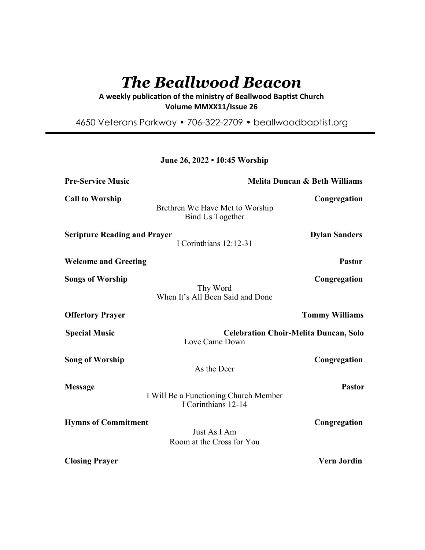# *The Beallwood Beacon*

A weekly publication of the ministry of Beallwood Baptist Church **Volume MMXX11/Issue 26** 

4650 Veterans Parkway • 706-322-2709 • beallwoodbaptist.org

# **June 26, 2022 • 10:45 Worship**

| <b>Pre-Service Music</b>            | <b>Melita Duncan &amp; Beth Williams</b>                       |                       |
|-------------------------------------|----------------------------------------------------------------|-----------------------|
| <b>Call to Worship</b>              | Brethren We Have Met to Worship<br><b>Bind Us Together</b>     | Congregation          |
| <b>Scripture Reading and Prayer</b> | I Corinthians 12:12-31                                         | <b>Dylan Sanders</b>  |
| <b>Welcome and Greeting</b>         |                                                                | <b>Pastor</b>         |
| <b>Songs of Worship</b>             | Thy Word<br>When It's All Been Said and Done                   | Congregation          |
| <b>Offertory Prayer</b>             |                                                                | <b>Tommy Williams</b> |
| <b>Special Music</b>                | <b>Celebration Choir-Melita Duncan, Solo</b><br>Love Came Down |                       |
| <b>Song of Worship</b>              | As the Deer                                                    | Congregation          |
| <b>Message</b>                      | I Will Be a Functioning Church Member<br>I Corinthians 12-14   | <b>Pastor</b>         |
| <b>Hymns of Commitment</b>          | Just As I Am<br>Room at the Cross for You                      | Congregation          |
| <b>Closing Prayer</b>               |                                                                | <b>Vern Jordin</b>    |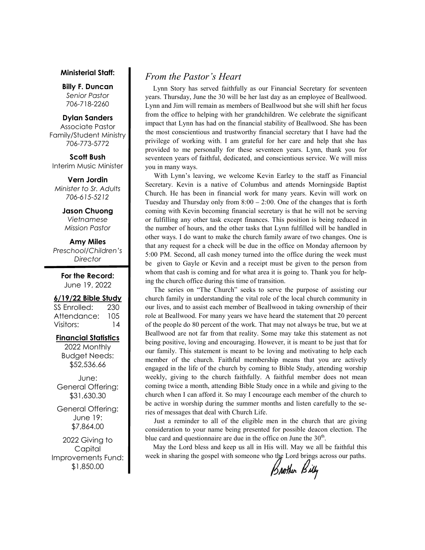#### **Ministerial Staff:**

**Billy F. Duncan** *Senior Pastor*  706-718-2260

#### **Dylan Sanders**

Associate Pastor Family/Student Ministry 706-773-5772

**Scott Bush**  Interim Music Minister

**Vern Jordin** *Minister to Sr. Adults 706-615-5212* 

> **Jason Chuong**  *Vietnamese*

*Mission Pastor* 

**Amy Miles** *Preschool/Children's Director* 

> **For the Record:**  June 19, 2022

#### **6/19/22 Bible Study**

SS Enrolled: 230 Attendance: 105 Visitors: 14

#### **Financial Statistics**

2022 Monthly Budget Needs: \$52,536.66

June: General Offering: \$31,630.30

General Offering: June 19: \$7,864.00

2022 Giving to Capital Improvements Fund: \$1,850.00

# *From the Pastor's Heart*

 Lynn Story has served faithfully as our Financial Secretary for seventeen years. Thursday, June the 30 will be her last day as an employee of Beallwood. Lynn and Jim will remain as members of Beallwood but she will shift her focus from the office to helping with her grandchildren. We celebrate the significant impact that Lynn has had on the financial stability of Beallwood. She has been the most conscientious and trustworthy financial secretary that I have had the privilege of working with. I am grateful for her care and help that she has provided to me personally for these seventeen years. Lynn, thank you for seventeen years of faithful, dedicated, and conscientious service. We will miss you in many ways.

 With Lynn's leaving, we welcome Kevin Earley to the staff as Financial Secretary. Kevin is a native of Columbus and attends Morningside Baptist Church. He has been in financial work for many years. Kevin will work on Tuesday and Thursday only from 8:00 – 2:00. One of the changes that is forth coming with Kevin becoming financial secretary is that he will not be serving or fulfilling any other task except finances. This position is being reduced in the number of hours, and the other tasks that Lynn fulfilled will be handled in other ways. I do want to make the church family aware of two changes. One is that any request for a check will be due in the office on Monday afternoon by 5:00 PM. Second, all cash money turned into the office during the week must be given to Gayle or Kevin and a receipt must be given to the person from whom that cash is coming and for what area it is going to. Thank you for helping the church office during this time of transition.

 The series on "The Church" seeks to serve the purpose of assisting our church family in understanding the vital role of the local church community in our lives, and to assist each member of Beallwood in taking ownership of their role at Beallwood. For many years we have heard the statement that 20 percent of the people do 80 percent of the work. That may not always be true, but we at Beallwood are not far from that reality. Some may take this statement as not being positive, loving and encouraging. However, it is meant to be just that for our family. This statement is meant to be loving and motivating to help each member of the church. Faithful membership means that you are actively engaged in the life of the church by coming to Bible Study, attending worship weekly, giving to the church faithfully. A faithful member does not mean coming twice a month, attending Bible Study once in a while and giving to the church when I can afford it. So may I encourage each member of the church to be active in worship during the summer months and listen carefully to the series of messages that deal with Church Life.

 Just a reminder to all of the eligible men in the church that are giving consideration to your name being presented for possible deacon election. The blue card and questionnaire are due in the office on June the  $30<sup>th</sup>$ .

 May the Lord bless and keep us all in His will. May we all be faithful this week in sharing the gospel with someone who the Lord brings across our paths.

Brother Billy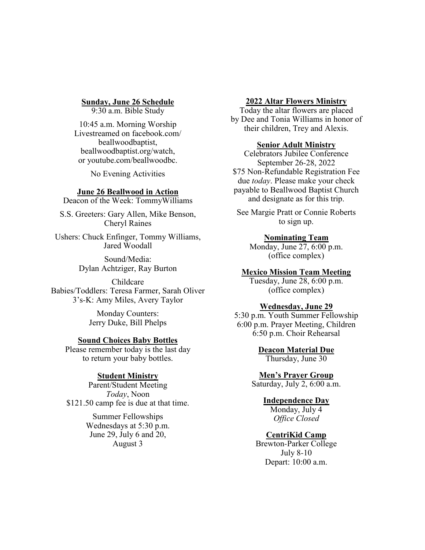# **Sunday, June 26 Schedule**

9:30 a.m. Bible Study

10:45 a.m. Morning Worship Livestreamed on facebook.com/ beallwoodbaptist, beallwoodbaptist.org/watch, or youtube.com/beallwoodbc.

No Evening Activities

## **June 26 Beallwood in Action**

Deacon of the Week: TommyWilliams

S.S. Greeters: Gary Allen, Mike Benson, Cheryl Raines

Ushers: Chuck Enfinger, Tommy Williams, Jared Woodall

> Sound/Media: Dylan Achtziger, Ray Burton

Childcare Babies/Toddlers: Teresa Farmer, Sarah Oliver 3's-K: Amy Miles, Avery Taylor

> Monday Counters: Jerry Duke, Bill Phelps

#### **Sound Choices Baby Bottles**

Please remember today is the last day to return your baby bottles.

### **Student Ministry**

Parent/Student Meeting *Today*, Noon \$121.50 camp fee is due at that time.

> Summer Fellowships Wednesdays at 5:30 p.m. June 29, July 6 and 20, August 3

#### **2022 Altar Flowers Ministry**

Today the altar flowers are placed by Dee and Tonia Williams in honor of their children, Trey and Alexis.

#### **Senior Adult Ministry**

Celebrators Jubilee Conference September 26-28, 2022 \$75 Non-Refundable Registration Fee due *today*. Please make your check payable to Beallwood Baptist Church and designate as for this trip.

See Margie Pratt or Connie Roberts to sign up.

# **Nominating Team**

Monday, June 27, 6:00 p.m. (office complex)

## **Mexico Mission Team Meeting**

Tuesday, June 28, 6:00 p.m. (office complex)

## **Wednesday, June 29**

5:30 p.m. Youth Summer Fellowship 6:00 p.m. Prayer Meeting, Children 6:50 p.m. Choir Rehearsal

> **Deacon Material Due** Thursday, June 30

#### **Men's Prayer Group**

Saturday, July 2, 6:00 a.m.

# **Independence Day**

Monday, July 4 *Office Closed*

# **CentriKid Camp**

Brewton-Parker College July 8-10 Depart: 10:00 a.m.